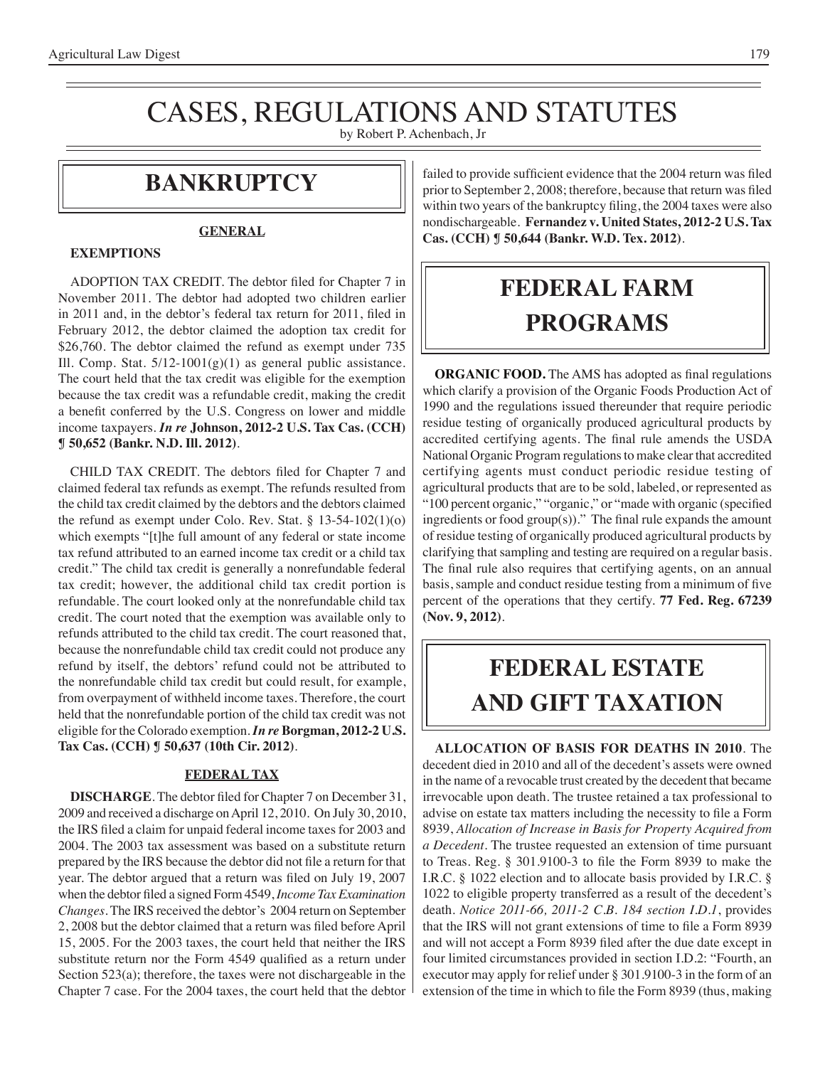## CASES, REGULATIONS AND STATUTES

by Robert P. Achenbach, Jr

### **bankruptcy**

#### **GENERAL**

#### **EXEMPTIONS**

 ADOPTION TAX CREDIT. The debtor filed for Chapter 7 in November 2011. The debtor had adopted two children earlier in 2011 and, in the debtor's federal tax return for 2011, filed in February 2012, the debtor claimed the adoption tax credit for \$26,760. The debtor claimed the refund as exempt under 735 Ill. Comp. Stat.  $5/12-1001(g)(1)$  as general public assistance. The court held that the tax credit was eligible for the exemption because the tax credit was a refundable credit, making the credit a benefit conferred by the U.S. Congress on lower and middle income taxpayers. *In re* **Johnson, 2012-2 U.S. Tax Cas. (CCH) ¶ 50,652 (Bankr. N.D. Ill. 2012)**.

 CHILD TAX CREDIT. The debtors filed for Chapter 7 and claimed federal tax refunds as exempt. The refunds resulted from the child tax credit claimed by the debtors and the debtors claimed the refund as exempt under Colo. Rev. Stat. § 13-54-102(1)(o) which exempts "[t]he full amount of any federal or state income tax refund attributed to an earned income tax credit or a child tax credit." The child tax credit is generally a nonrefundable federal tax credit; however, the additional child tax credit portion is refundable. The court looked only at the nonrefundable child tax credit. The court noted that the exemption was available only to refunds attributed to the child tax credit. The court reasoned that, because the nonrefundable child tax credit could not produce any refund by itself, the debtors' refund could not be attributed to the nonrefundable child tax credit but could result, for example, from overpayment of withheld income taxes. Therefore, the court held that the nonrefundable portion of the child tax credit was not eligible for the Colorado exemption. *In re* **Borgman, 2012-2 U.S. Tax Cas. (CCH) ¶ 50,637 (10th Cir. 2012)**.

#### **FEDERAL TAX**

**DISCHARGE**. The debtor filed for Chapter 7 on December 31, 2009 and received a discharge on April 12, 2010. On July 30, 2010, the IRS filed a claim for unpaid federal income taxes for 2003 and 2004. The 2003 tax assessment was based on a substitute return prepared by the IRS because the debtor did not file a return for that year. The debtor argued that a return was filed on July 19, 2007 when the debtor filed a signed Form 4549,*Income Tax Examination Changes*. The IRS received the debtor's 2004 return on September 2, 2008 but the debtor claimed that a return was filed before April 15, 2005. For the 2003 taxes, the court held that neither the IRS substitute return nor the Form 4549 qualified as a return under Section 523(a); therefore, the taxes were not dischargeable in the Chapter 7 case. For the 2004 taxes, the court held that the debtor failed to provide sufficient evidence that the 2004 return was filed prior to September 2, 2008; therefore, because that return was filed within two years of the bankruptcy filing, the 2004 taxes were also nondischargeable. **Fernandez v. United States, 2012-2 U.S. Tax Cas. (CCH) ¶ 50,644 (Bankr. W.D. Tex. 2012)**.

### **federal FARM PROGRAMS**

**ORGANIC FOOD.** The AMS has adopted as final regulations which clarify a provision of the Organic Foods Production Act of 1990 and the regulations issued thereunder that require periodic residue testing of organically produced agricultural products by accredited certifying agents. The final rule amends the USDA National Organic Program regulations to make clear that accredited certifying agents must conduct periodic residue testing of agricultural products that are to be sold, labeled, or represented as "100 percent organic," "organic," or "made with organic (specified ingredients or food group(s))." The final rule expands the amount of residue testing of organically produced agricultural products by clarifying that sampling and testing are required on a regular basis. The final rule also requires that certifying agents, on an annual basis, sample and conduct residue testing from a minimum of five percent of the operations that they certify. **77 Fed. Reg. 67239 (Nov. 9, 2012)**.

## **FEDERAL ESTATE AND GIFT taxation**

**ALLOCATION OF BASIS FOR DEATHS IN 2010**. The decedent died in 2010 and all of the decedent's assets were owned in the name of a revocable trust created by the decedent that became irrevocable upon death. The trustee retained a tax professional to advise on estate tax matters including the necessity to file a Form 8939, *Allocation of Increase in Basis for Property Acquired from a Decedent*. The trustee requested an extension of time pursuant to Treas. Reg. § 301.9100-3 to file the Form 8939 to make the I.R.C. § 1022 election and to allocate basis provided by I.R.C. § 1022 to eligible property transferred as a result of the decedent's death. *Notice 2011-66, 2011-2 C.B. 184 section I.D.1*, provides that the IRS will not grant extensions of time to file a Form 8939 and will not accept a Form 8939 filed after the due date except in four limited circumstances provided in section I.D.2: "Fourth, an executor may apply for relief under § 301.9100-3 in the form of an extension of the time in which to file the Form 8939 (thus, making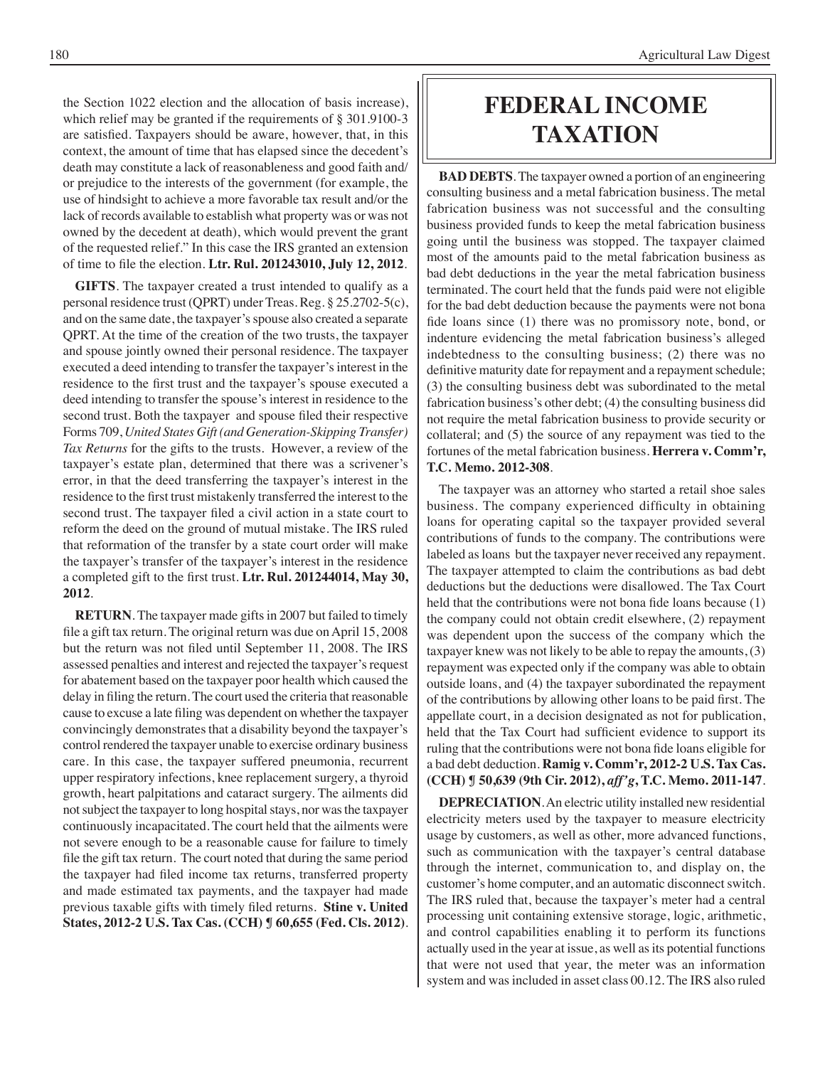the Section 1022 election and the allocation of basis increase), which relief may be granted if the requirements of § 301.9100-3 are satisfied. Taxpayers should be aware, however, that, in this context, the amount of time that has elapsed since the decedent's death may constitute a lack of reasonableness and good faith and/ or prejudice to the interests of the government (for example, the use of hindsight to achieve a more favorable tax result and/or the lack of records available to establish what property was or was not owned by the decedent at death), which would prevent the grant of the requested relief." In this case the IRS granted an extension of time to file the election. **Ltr. Rul. 201243010, July 12, 2012**.

**GIFTS**. The taxpayer created a trust intended to qualify as a personal residence trust (QPRT) under Treas. Reg. § 25.2702-5(c), and on the same date, the taxpayer's spouse also created a separate QPRT. At the time of the creation of the two trusts, the taxpayer and spouse jointly owned their personal residence. The taxpayer executed a deed intending to transfer the taxpayer's interest in the residence to the first trust and the taxpayer's spouse executed a deed intending to transfer the spouse's interest in residence to the second trust. Both the taxpayer and spouse filed their respective Forms 709, *United States Gift (and Generation-Skipping Transfer) Tax Returns* for the gifts to the trusts. However, a review of the taxpayer's estate plan, determined that there was a scrivener's error, in that the deed transferring the taxpayer's interest in the residence to the first trust mistakenly transferred the interest to the second trust. The taxpayer filed a civil action in a state court to reform the deed on the ground of mutual mistake. The IRS ruled that reformation of the transfer by a state court order will make the taxpayer's transfer of the taxpayer's interest in the residence a completed gift to the first trust. **Ltr. Rul. 201244014, May 30, 2012**.

**RETURN**. The taxpayer made gifts in 2007 but failed to timely file a gift tax return. The original return was due on April 15, 2008 but the return was not filed until September 11, 2008. The IRS assessed penalties and interest and rejected the taxpayer's request for abatement based on the taxpayer poor health which caused the delay in filing the return. The court used the criteria that reasonable cause to excuse a late filing was dependent on whether the taxpayer convincingly demonstrates that a disability beyond the taxpayer's control rendered the taxpayer unable to exercise ordinary business care. In this case, the taxpayer suffered pneumonia, recurrent upper respiratory infections, knee replacement surgery, a thyroid growth, heart palpitations and cataract surgery. The ailments did not subject the taxpayer to long hospital stays, nor was the taxpayer continuously incapacitated. The court held that the ailments were not severe enough to be a reasonable cause for failure to timely file the gift tax return. The court noted that during the same period the taxpayer had filed income tax returns, transferred property and made estimated tax payments, and the taxpayer had made previous taxable gifts with timely filed returns. **Stine v. United States, 2012-2 U.S. Tax Cas. (CCH) ¶ 60,655 (Fed. Cls. 2012)**.

### **federal income taxation**

**BAD DEBTS**. The taxpayer owned a portion of an engineering consulting business and a metal fabrication business. The metal fabrication business was not successful and the consulting business provided funds to keep the metal fabrication business going until the business was stopped. The taxpayer claimed most of the amounts paid to the metal fabrication business as bad debt deductions in the year the metal fabrication business terminated. The court held that the funds paid were not eligible for the bad debt deduction because the payments were not bona fide loans since (1) there was no promissory note, bond, or indenture evidencing the metal fabrication business's alleged indebtedness to the consulting business; (2) there was no definitive maturity date for repayment and a repayment schedule; (3) the consulting business debt was subordinated to the metal fabrication business's other debt; (4) the consulting business did not require the metal fabrication business to provide security or collateral; and (5) the source of any repayment was tied to the fortunes of the metal fabrication business. **Herrera v. Comm'r, T.C. Memo. 2012-308**.

The taxpayer was an attorney who started a retail shoe sales business. The company experienced difficulty in obtaining loans for operating capital so the taxpayer provided several contributions of funds to the company. The contributions were labeled as loans but the taxpayer never received any repayment. The taxpayer attempted to claim the contributions as bad debt deductions but the deductions were disallowed. The Tax Court held that the contributions were not bona fide loans because (1) the company could not obtain credit elsewhere, (2) repayment was dependent upon the success of the company which the taxpayer knew was not likely to be able to repay the amounts, (3) repayment was expected only if the company was able to obtain outside loans, and (4) the taxpayer subordinated the repayment of the contributions by allowing other loans to be paid first. The appellate court, in a decision designated as not for publication, held that the Tax Court had sufficient evidence to support its ruling that the contributions were not bona fide loans eligible for a bad debt deduction. **Ramig v. Comm'r, 2012-2 U.S. Tax Cas. (CCH) ¶ 50,639 (9th Cir. 2012),** *aff'g***, T.C. Memo. 2011-147**.

**DEPRECIATION**. An electric utility installed new residential electricity meters used by the taxpayer to measure electricity usage by customers, as well as other, more advanced functions, such as communication with the taxpayer's central database through the internet, communication to, and display on, the customer's home computer, and an automatic disconnect switch. The IRS ruled that, because the taxpayer's meter had a central processing unit containing extensive storage, logic, arithmetic, and control capabilities enabling it to perform its functions actually used in the year at issue, as well as its potential functions that were not used that year, the meter was an information system and was included in asset class 00.12. The IRS also ruled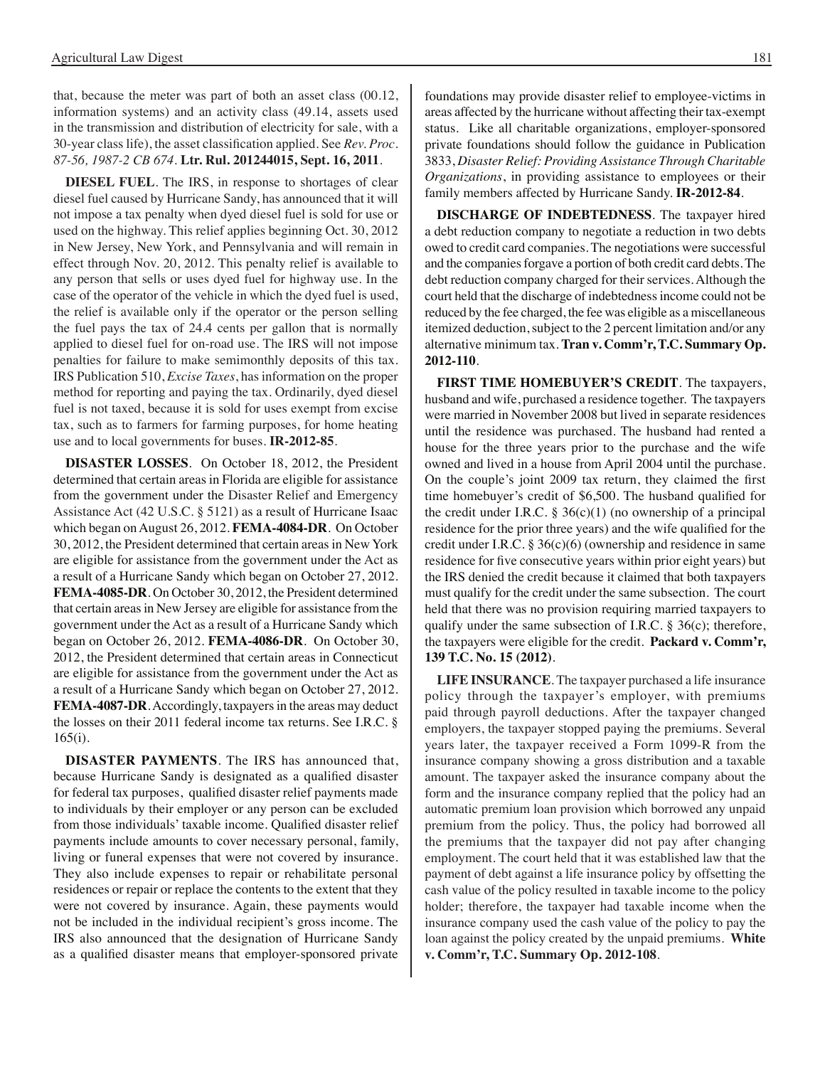that, because the meter was part of both an asset class (00.12, information systems) and an activity class (49.14, assets used in the transmission and distribution of electricity for sale, with a 30-year class life), the asset classification applied. See *Rev. Proc. 87-56, 1987-2 CB 674*. **Ltr. Rul. 201244015, Sept. 16, 2011**.

**DIESEL FUEL**. The IRS, in response to shortages of clear diesel fuel caused by Hurricane Sandy, has announced that it will not impose a tax penalty when dyed diesel fuel is sold for use or used on the highway. This relief applies beginning Oct. 30, 2012 in New Jersey, New York, and Pennsylvania and will remain in effect through Nov. 20, 2012. This penalty relief is available to any person that sells or uses dyed fuel for highway use. In the case of the operator of the vehicle in which the dyed fuel is used, the relief is available only if the operator or the person selling the fuel pays the tax of 24.4 cents per gallon that is normally applied to diesel fuel for on-road use. The IRS will not impose penalties for failure to make semimonthly deposits of this tax. IRS Publication 510, *Excise Taxes*, has information on the proper method for reporting and paying the tax. Ordinarily, dyed diesel fuel is not taxed, because it is sold for uses exempt from excise tax, such as to farmers for farming purposes, for home heating use and to local governments for buses. **IR-2012-85**.

**DISASTER LOSSES**. On October 18, 2012, the President determined that certain areas in Florida are eligible for assistance from the government under the Disaster Relief and Emergency Assistance Act (42 U.S.C. § 5121) as a result of Hurricane Isaac which began on August 26, 2012. **FEMA-4084-DR**. On October 30, 2012, the President determined that certain areas in New York are eligible for assistance from the government under the Act as a result of a Hurricane Sandy which began on October 27, 2012. **FEMA-4085-DR**. On October 30, 2012, the President determined that certain areas in New Jersey are eligible for assistance from the government under the Act as a result of a Hurricane Sandy which began on October 26, 2012. **FEMA-4086-DR**. On October 30, 2012, the President determined that certain areas in Connecticut are eligible for assistance from the government under the Act as a result of a Hurricane Sandy which began on October 27, 2012. **FEMA-4087-DR**. Accordingly, taxpayers in the areas may deduct the losses on their 2011 federal income tax returns. See I.R.C. § 165(i).

**DISASTER PAYMENTS**. The IRS has announced that, because Hurricane Sandy is designated as a qualified disaster for federal tax purposes, qualified disaster relief payments made to individuals by their employer or any person can be excluded from those individuals' taxable income. Qualified disaster relief payments include amounts to cover necessary personal, family, living or funeral expenses that were not covered by insurance. They also include expenses to repair or rehabilitate personal residences or repair or replace the contents to the extent that they were not covered by insurance. Again, these payments would not be included in the individual recipient's gross income. The IRS also announced that the designation of Hurricane Sandy as a qualified disaster means that employer-sponsored private

foundations may provide disaster relief to employee-victims in

areas affected by the hurricane without affecting their tax-exempt status. Like all charitable organizations, employer-sponsored private foundations should follow the guidance in Publication 3833, *Disaster Relief: Providing Assistance Through Charitable Organizations*, in providing assistance to employees or their family members affected by Hurricane Sandy. **IR-2012-84**.

**DISCHARGE OF INDEBTEDNESS**. The taxpayer hired a debt reduction company to negotiate a reduction in two debts owed to credit card companies. The negotiations were successful and the companies forgave a portion of both credit card debts. The debt reduction company charged for their services. Although the court held that the discharge of indebtedness income could not be reduced by the fee charged, the fee was eligible as a miscellaneous itemized deduction, subject to the 2 percent limitation and/or any alternative minimum tax. **Tran v. Comm'r, T.C. Summary Op. 2012-110**.

**FIRST TIME HOMEBUYER'S CREDIT**. The taxpayers, husband and wife, purchased a residence together. The taxpayers were married in November 2008 but lived in separate residences until the residence was purchased. The husband had rented a house for the three years prior to the purchase and the wife owned and lived in a house from April 2004 until the purchase. On the couple's joint 2009 tax return, they claimed the first time homebuyer's credit of \$6,500. The husband qualified for the credit under I.R.C.  $\S 36(c)(1)$  (no ownership of a principal residence for the prior three years) and the wife qualified for the credit under I.R.C. § 36(c)(6) (ownership and residence in same residence for five consecutive years within prior eight years) but the IRS denied the credit because it claimed that both taxpayers must qualify for the credit under the same subsection. The court held that there was no provision requiring married taxpayers to qualify under the same subsection of I.R.C. § 36(c); therefore, the taxpayers were eligible for the credit. **Packard v. Comm'r, 139 T.C. No. 15 (2012)**.

**LIFE INSURANCE**. The taxpayer purchased a life insurance policy through the taxpayer's employer, with premiums paid through payroll deductions. After the taxpayer changed employers, the taxpayer stopped paying the premiums. Several years later, the taxpayer received a Form 1099-R from the insurance company showing a gross distribution and a taxable amount. The taxpayer asked the insurance company about the form and the insurance company replied that the policy had an automatic premium loan provision which borrowed any unpaid premium from the policy. Thus, the policy had borrowed all the premiums that the taxpayer did not pay after changing employment. The court held that it was established law that the payment of debt against a life insurance policy by offsetting the cash value of the policy resulted in taxable income to the policy holder; therefore, the taxpayer had taxable income when the insurance company used the cash value of the policy to pay the loan against the policy created by the unpaid premiums. **White v. Comm'r, T.C. Summary Op. 2012-108**.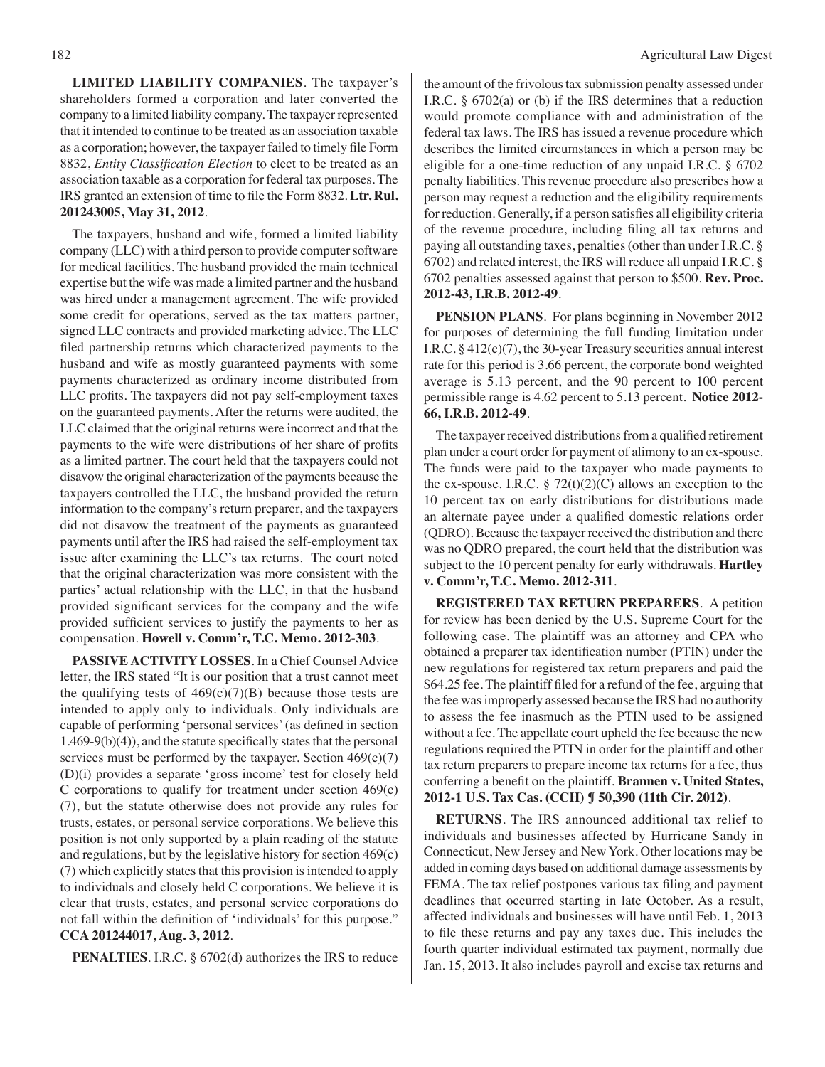**LIMITED LIABILITY COMPANIES**. The taxpayer's shareholders formed a corporation and later converted the company to a limited liability company. The taxpayer represented that it intended to continue to be treated as an association taxable as a corporation; however, the taxpayer failed to timely file Form 8832, *Entity Classification Election* to elect to be treated as an association taxable as a corporation for federal tax purposes. The IRS granted an extension of time to file the Form 8832. **Ltr. Rul. 201243005, May 31, 2012**.

The taxpayers, husband and wife, formed a limited liability company (LLC) with a third person to provide computer software for medical facilities. The husband provided the main technical expertise but the wife was made a limited partner and the husband was hired under a management agreement. The wife provided some credit for operations, served as the tax matters partner, signed LLC contracts and provided marketing advice. The LLC filed partnership returns which characterized payments to the husband and wife as mostly guaranteed payments with some payments characterized as ordinary income distributed from LLC profits. The taxpayers did not pay self-employment taxes on the guaranteed payments. After the returns were audited, the LLC claimed that the original returns were incorrect and that the payments to the wife were distributions of her share of profits as a limited partner. The court held that the taxpayers could not disavow the original characterization of the payments because the taxpayers controlled the LLC, the husband provided the return information to the company's return preparer, and the taxpayers did not disavow the treatment of the payments as guaranteed payments until after the IRS had raised the self-employment tax issue after examining the LLC's tax returns. The court noted that the original characterization was more consistent with the parties' actual relationship with the LLC, in that the husband provided significant services for the company and the wife provided sufficient services to justify the payments to her as compensation. **Howell v. Comm'r, T.C. Memo. 2012-303**.

**PASSIVE ACTIVITY LOSSES**. In a Chief Counsel Advice letter, the IRS stated "It is our position that a trust cannot meet the qualifying tests of  $469(c)(7)(B)$  because those tests are intended to apply only to individuals. Only individuals are capable of performing 'personal services'(as defined in section  $1.469-9(b)(4)$ , and the statute specifically states that the personal services must be performed by the taxpayer. Section  $469(c)(7)$ (D)(i) provides a separate 'gross income' test for closely held C corporations to qualify for treatment under section 469(c) (7), but the statute otherwise does not provide any rules for trusts, estates, or personal service corporations. We believe this position is not only supported by a plain reading of the statute and regulations, but by the legislative history for section 469(c) (7) which explicitly states that this provision is intended to apply to individuals and closely held C corporations. We believe it is clear that trusts, estates, and personal service corporations do not fall within the definition of 'individuals' for this purpose." **CCA 201244017, Aug. 3, 2012**.

**PENALTIES**. I.R.C. § 6702(d) authorizes the IRS to reduce

the amount of the frivolous tax submission penalty assessed under I.R.C. § 6702(a) or (b) if the IRS determines that a reduction would promote compliance with and administration of the federal tax laws. The IRS has issued a revenue procedure which describes the limited circumstances in which a person may be eligible for a one-time reduction of any unpaid I.R.C. § 6702 penalty liabilities. This revenue procedure also prescribes how a person may request a reduction and the eligibility requirements for reduction. Generally, if a person satisfies all eligibility criteria of the revenue procedure, including filing all tax returns and paying all outstanding taxes, penalties (other than under I.R.C. § 6702) and related interest, the IRS will reduce all unpaid I.R.C. § 6702 penalties assessed against that person to \$500. **Rev. Proc. 2012-43, I.R.B. 2012-49**.

**PENSION PLANS**. For plans beginning in November 2012 for purposes of determining the full funding limitation under I.R.C. § 412(c)(7), the 30-year Treasury securities annual interest rate for this period is 3.66 percent, the corporate bond weighted average is 5.13 percent, and the 90 percent to 100 percent permissible range is 4.62 percent to 5.13 percent. **Notice 2012- 66, I.R.B. 2012-49**.

The taxpayer received distributions from a qualified retirement plan under a court order for payment of alimony to an ex-spouse. The funds were paid to the taxpayer who made payments to the ex-spouse. I.R.C.  $\S 72(t)(2)(C)$  allows an exception to the 10 percent tax on early distributions for distributions made an alternate payee under a qualified domestic relations order (QDRO). Because the taxpayer received the distribution and there was no QDRO prepared, the court held that the distribution was subject to the 10 percent penalty for early withdrawals. **Hartley v. Comm'r, T.C. Memo. 2012-311**.

**REGISTERED TAX RETURN PREPARERS**. A petition for review has been denied by the U.S. Supreme Court for the following case. The plaintiff was an attorney and CPA who obtained a preparer tax identification number (PTIN) under the new regulations for registered tax return preparers and paid the \$64.25 fee. The plaintiff filed for a refund of the fee, arguing that the fee was improperly assessed because the IRS had no authority to assess the fee inasmuch as the PTIN used to be assigned without a fee. The appellate court upheld the fee because the new regulations required the PTIN in order for the plaintiff and other tax return preparers to prepare income tax returns for a fee, thus conferring a benefit on the plaintiff. **Brannen v. United States, 2012-1 U.S. Tax Cas. (CCH) ¶ 50,390 (11th Cir. 2012)**.

**RETURNS**. The IRS announced additional tax relief to individuals and businesses affected by Hurricane Sandy in Connecticut, New Jersey and New York. Other locations may be added in coming days based on additional damage assessments by FEMA. The tax relief postpones various tax filing and payment deadlines that occurred starting in late October. As a result, affected individuals and businesses will have until Feb. 1, 2013 to file these returns and pay any taxes due. This includes the fourth quarter individual estimated tax payment, normally due Jan. 15, 2013. It also includes payroll and excise tax returns and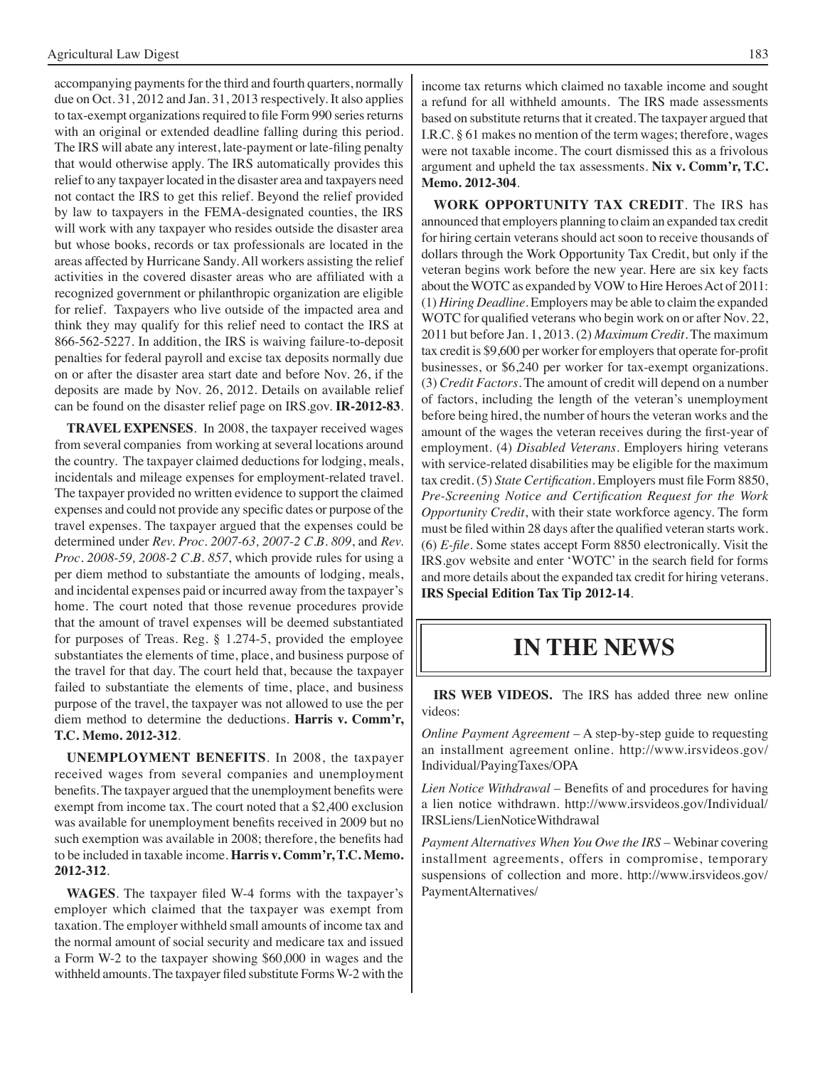accompanying payments for the third and fourth quarters, normally due on Oct. 31, 2012 and Jan. 31, 2013 respectively. It also applies to tax-exempt organizations required to file Form 990 series returns with an original or extended deadline falling during this period. The IRS will abate any interest, late-payment or late-filing penalty that would otherwise apply. The IRS automatically provides this relief to any taxpayer located in the disaster area and taxpayers need not contact the IRS to get this relief. Beyond the relief provided by law to taxpayers in the FEMA-designated counties, the IRS will work with any taxpayer who resides outside the disaster area but whose books, records or tax professionals are located in the areas affected by Hurricane Sandy. All workers assisting the relief activities in the covered disaster areas who are affiliated with a recognized government or philanthropic organization are eligible for relief. Taxpayers who live outside of the impacted area and think they may qualify for this relief need to contact the IRS at 866-562-5227. In addition, the IRS is waiving failure-to-deposit penalties for federal payroll and excise tax deposits normally due on or after the disaster area start date and before Nov. 26, if the deposits are made by Nov. 26, 2012. Details on available relief can be found on the disaster relief page on IRS.gov. **IR-2012-83**.

**TRAVEL EXPENSES**. In 2008, the taxpayer received wages from several companies from working at several locations around the country. The taxpayer claimed deductions for lodging, meals, incidentals and mileage expenses for employment-related travel. The taxpayer provided no written evidence to support the claimed expenses and could not provide any specific dates or purpose of the travel expenses. The taxpayer argued that the expenses could be determined under *Rev. Proc. 2007-63, 2007-2 C.B. 809*, and *Rev. Proc. 2008-59, 2008-2 C.B. 857*, which provide rules for using a per diem method to substantiate the amounts of lodging, meals, and incidental expenses paid or incurred away from the taxpayer's home. The court noted that those revenue procedures provide that the amount of travel expenses will be deemed substantiated for purposes of Treas. Reg. § 1.274-5, provided the employee substantiates the elements of time, place, and business purpose of the travel for that day. The court held that, because the taxpayer failed to substantiate the elements of time, place, and business purpose of the travel, the taxpayer was not allowed to use the per diem method to determine the deductions. **Harris v. Comm'r, T.C. Memo. 2012-312**.

**UNEMPLOYMENT BENEFITS**. In 2008, the taxpayer received wages from several companies and unemployment benefits. The taxpayer argued that the unemployment benefits were exempt from income tax. The court noted that a \$2,400 exclusion was available for unemployment benefits received in 2009 but no such exemption was available in 2008; therefore, the benefits had to be included in taxable income. **Harris v. Comm'r, T.C. Memo. 2012-312**.

**WAGES**. The taxpayer filed W-4 forms with the taxpayer's employer which claimed that the taxpayer was exempt from taxation. The employer withheld small amounts of income tax and the normal amount of social security and medicare tax and issued a Form W-2 to the taxpayer showing \$60,000 in wages and the withheld amounts. The taxpayer filed substitute Forms W-2 with the income tax returns which claimed no taxable income and sought a refund for all withheld amounts. The IRS made assessments based on substitute returns that it created. The taxpayer argued that I.R.C. § 61 makes no mention of the term wages; therefore, wages were not taxable income. The court dismissed this as a frivolous argument and upheld the tax assessments. **Nix v. Comm'r, T.C. Memo. 2012-304**.

**WORK OPPORTUNITY TAX CREDIT**. The IRS has announced that employers planning to claim an expanded tax credit for hiring certain veterans should act soon to receive thousands of dollars through the Work Opportunity Tax Credit, but only if the veteran begins work before the new year. Here are six key facts about the WOTC as expanded by VOW to Hire Heroes Act of 2011: (1) *Hiring Deadline*. Employers may be able to claim the expanded WOTC for qualified veterans who begin work on or after Nov. 22, 2011 but before Jan. 1, 2013. (2) *Maximum Credit*. The maximum tax credit is \$9,600 per worker for employers that operate for-profit businesses, or \$6,240 per worker for tax-exempt organizations. (3) *Credit Factors*. The amount of credit will depend on a number of factors, including the length of the veteran's unemployment before being hired, the number of hours the veteran works and the amount of the wages the veteran receives during the first-year of employment. (4) *Disabled Veterans*. Employers hiring veterans with service-related disabilities may be eligible for the maximum tax credit. (5) *State Certification*. Employers must file Form 8850, *Pre-Screening Notice and Certification Request for the Work Opportunity Credit*, with their state workforce agency. The form must be filed within 28 days after the qualified veteran starts work. (6) *E-file*. Some states accept Form 8850 electronically. Visit the IRS.gov website and enter 'WOTC' in the search field for forms and more details about the expanded tax credit for hiring veterans. **IRS Special Edition Tax Tip 2012-14**.

### **In the news**

**IRS WEB VIDEOS.** The IRS has added three new online videos:

*Online Payment Agreement* – A step-by-step guide to requesting an installment agreement online. http://www.irsvideos.gov/ Individual/PayingTaxes/OPA

*Lien Notice Withdrawal* – Benefits of and procedures for having a lien notice withdrawn. http://www.irsvideos.gov/Individual/ IRSLiens/LienNoticeWithdrawal

*Payment Alternatives When You Owe the IRS* – Webinar covering installment agreements, offers in compromise, temporary suspensions of collection and more. http://www.irsvideos.gov/ PaymentAlternatives/